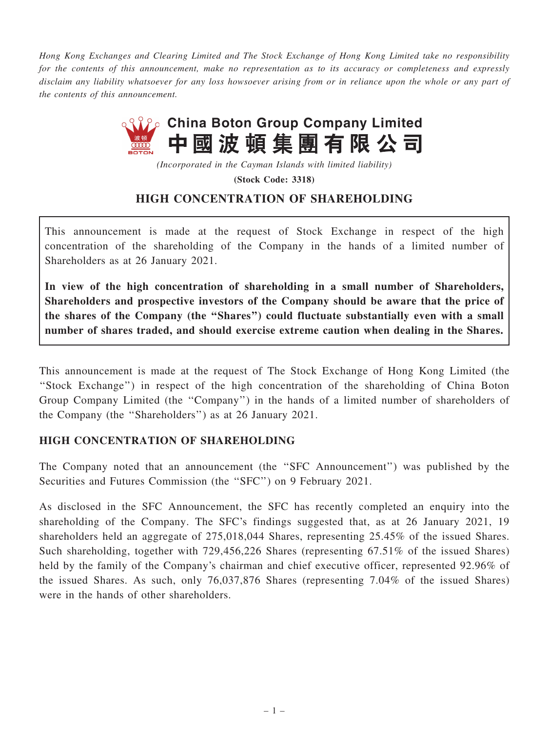Hong Kong Exchanges and Clearing Limited and The Stock Exchange of Hong Kong Limited take no responsibility for the contents of this announcement, make no representation as to its accuracy or completeness and expressly disclaim any liability whatsoever for any loss howsoever arising from or in reliance upon the whole or any part of the contents of this announcement.



(Incorporated in the Cayman Islands with limited liability)

(Stock Code: 3318)

## HIGH CONCENTRATION OF SHAREHOLDING

This announcement is made at the request of Stock Exchange in respect of the high concentration of the shareholding of the Company in the hands of a limited number of Shareholders as at 26 January 2021.

In view of the high concentration of shareholding in a small number of Shareholders, Shareholders and prospective investors of the Company should be aware that the price of the shares of the Company (the ''Shares'') could fluctuate substantially even with a small number of shares traded, and should exercise extreme caution when dealing in the Shares.

This announcement is made at the request of The Stock Exchange of Hong Kong Limited (the ''Stock Exchange'') in respect of the high concentration of the shareholding of China Boton Group Company Limited (the ''Company'') in the hands of a limited number of shareholders of the Company (the ''Shareholders'') as at 26 January 2021.

## HIGH CONCENTRATION OF SHAREHOLDING

The Company noted that an announcement (the ''SFC Announcement'') was published by the Securities and Futures Commission (the "SFC") on 9 February 2021.

As disclosed in the SFC Announcement, the SFC has recently completed an enquiry into the shareholding of the Company. The SFC's findings suggested that, as at 26 January 2021, 19 shareholders held an aggregate of 275,018,044 Shares, representing 25.45% of the issued Shares. Such shareholding, together with 729,456,226 Shares (representing 67.51% of the issued Shares) held by the family of the Company's chairman and chief executive officer, represented 92.96% of the issued Shares. As such, only 76,037,876 Shares (representing 7.04% of the issued Shares) were in the hands of other shareholders.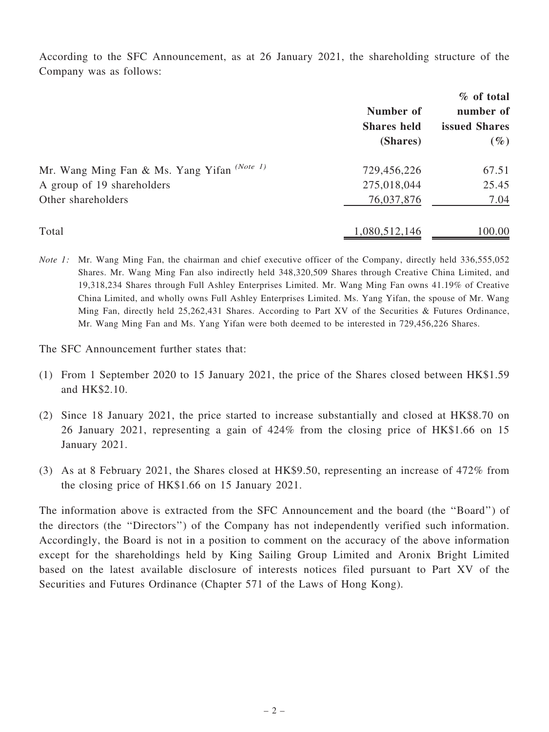According to the SFC Announcement, as at 26 January 2021, the shareholding structure of the Company was as follows:

|                                                        |                                 | % of total                 |
|--------------------------------------------------------|---------------------------------|----------------------------|
|                                                        | Number of<br><b>Shares</b> held | number of<br>issued Shares |
|                                                        |                                 |                            |
|                                                        | (Shares)                        | $(\%)$                     |
| Mr. Wang Ming Fan & Ms. Yang Yifan <sup>(Note 1)</sup> | 729,456,226                     | 67.51                      |
| A group of 19 shareholders                             | 275,018,044                     | 25.45                      |
| Other shareholders                                     | 76,037,876                      | 7.04                       |
| Total                                                  | 1,080,512,146                   | 100.00                     |

Note 1: Mr. Wang Ming Fan, the chairman and chief executive officer of the Company, directly held 336,555,052 Shares. Mr. Wang Ming Fan also indirectly held 348,320,509 Shares through Creative China Limited, and 19,318,234 Shares through Full Ashley Enterprises Limited. Mr. Wang Ming Fan owns 41.19% of Creative China Limited, and wholly owns Full Ashley Enterprises Limited. Ms. Yang Yifan, the spouse of Mr. Wang Ming Fan, directly held 25,262,431 Shares. According to Part XV of the Securities & Futures Ordinance, Mr. Wang Ming Fan and Ms. Yang Yifan were both deemed to be interested in 729,456,226 Shares.

The SFC Announcement further states that:

- (1) From 1 September 2020 to 15 January 2021, the price of the Shares closed between HK\$1.59 and HK\$2.10.
- (2) Since 18 January 2021, the price started to increase substantially and closed at HK\$8.70 on 26 January 2021, representing a gain of 424% from the closing price of HK\$1.66 on 15 January 2021.
- (3) As at 8 February 2021, the Shares closed at HK\$9.50, representing an increase of 472% from the closing price of HK\$1.66 on 15 January 2021.

The information above is extracted from the SFC Announcement and the board (the ''Board'') of the directors (the ''Directors'') of the Company has not independently verified such information. Accordingly, the Board is not in a position to comment on the accuracy of the above information except for the shareholdings held by King Sailing Group Limited and Aronix Bright Limited based on the latest available disclosure of interests notices filed pursuant to Part XV of the Securities and Futures Ordinance (Chapter 571 of the Laws of Hong Kong).